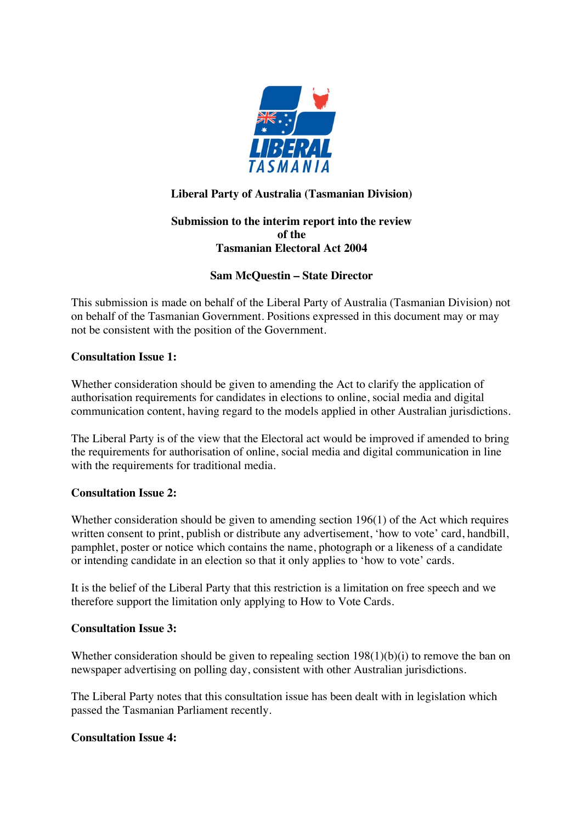

## **Liberal Party of Australia (Tasmanian Division)**

## **Submission to the interim report into the review of the Tasmanian Electoral Act 2004**

## **Sam McQuestin – State Director**

This submission is made on behalf of the Liberal Party of Australia (Tasmanian Division) not on behalf of the Tasmanian Government. Positions expressed in this document may or may not be consistent with the position of the Government.

#### **Consultation Issue 1:**

Whether consideration should be given to amending the Act to clarify the application of authorisation requirements for candidates in elections to online, social media and digital communication content, having regard to the models applied in other Australian jurisdictions.

The Liberal Party is of the view that the Electoral act would be improved if amended to bring the requirements for authorisation of online, social media and digital communication in line with the requirements for traditional media.

#### **Consultation Issue 2:**

Whether consideration should be given to amending section 196(1) of the Act which requires written consent to print, publish or distribute any advertisement, 'how to vote' card, handbill, pamphlet, poster or notice which contains the name, photograph or a likeness of a candidate or intending candidate in an election so that it only applies to 'how to vote' cards.

It is the belief of the Liberal Party that this restriction is a limitation on free speech and we therefore support the limitation only applying to How to Vote Cards.

#### **Consultation Issue 3:**

Whether consideration should be given to repealing section 198(1)(b)(i) to remove the ban on newspaper advertising on polling day, consistent with other Australian jurisdictions.

The Liberal Party notes that this consultation issue has been dealt with in legislation which passed the Tasmanian Parliament recently.

#### **Consultation Issue 4:**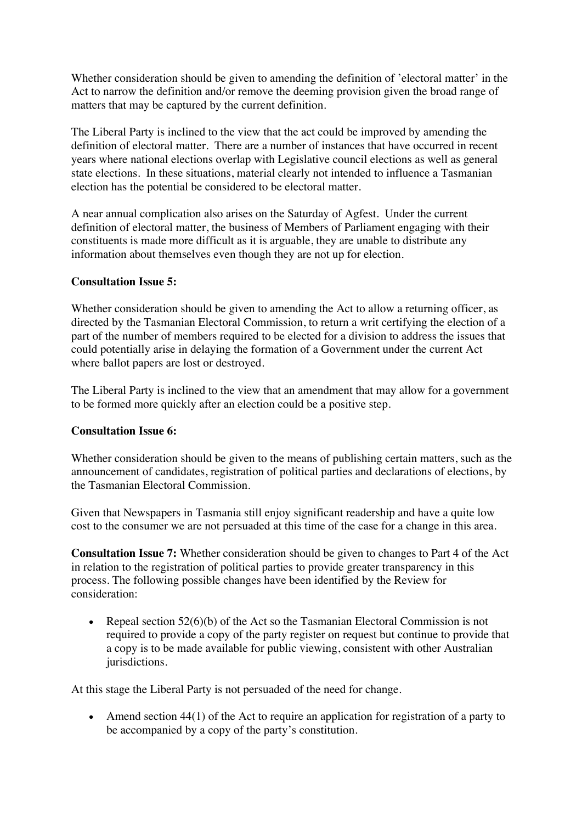Whether consideration should be given to amending the definition of 'electoral matter' in the Act to narrow the definition and/or remove the deeming provision given the broad range of matters that may be captured by the current definition.

The Liberal Party is inclined to the view that the act could be improved by amending the definition of electoral matter. There are a number of instances that have occurred in recent years where national elections overlap with Legislative council elections as well as general state elections. In these situations, material clearly not intended to influence a Tasmanian election has the potential be considered to be electoral matter.

A near annual complication also arises on the Saturday of Agfest. Under the current definition of electoral matter, the business of Members of Parliament engaging with their constituents is made more difficult as it is arguable, they are unable to distribute any information about themselves even though they are not up for election.

#### **Consultation Issue 5:**

Whether consideration should be given to amending the Act to allow a returning officer, as directed by the Tasmanian Electoral Commission, to return a writ certifying the election of a part of the number of members required to be elected for a division to address the issues that could potentially arise in delaying the formation of a Government under the current Act where ballot papers are lost or destroyed.

The Liberal Party is inclined to the view that an amendment that may allow for a government to be formed more quickly after an election could be a positive step.

#### **Consultation Issue 6:**

Whether consideration should be given to the means of publishing certain matters, such as the announcement of candidates, registration of political parties and declarations of elections, by the Tasmanian Electoral Commission.

Given that Newspapers in Tasmania still enjoy significant readership and have a quite low cost to the consumer we are not persuaded at this time of the case for a change in this area.

**Consultation Issue 7:** Whether consideration should be given to changes to Part 4 of the Act in relation to the registration of political parties to provide greater transparency in this process. The following possible changes have been identified by the Review for consideration:

• Repeal section 52(6)(b) of the Act so the Tasmanian Electoral Commission is not required to provide a copy of the party register on request but continue to provide that a copy is to be made available for public viewing, consistent with other Australian jurisdictions.

At this stage the Liberal Party is not persuaded of the need for change.

• Amend section 44(1) of the Act to require an application for registration of a party to be accompanied by a copy of the party's constitution.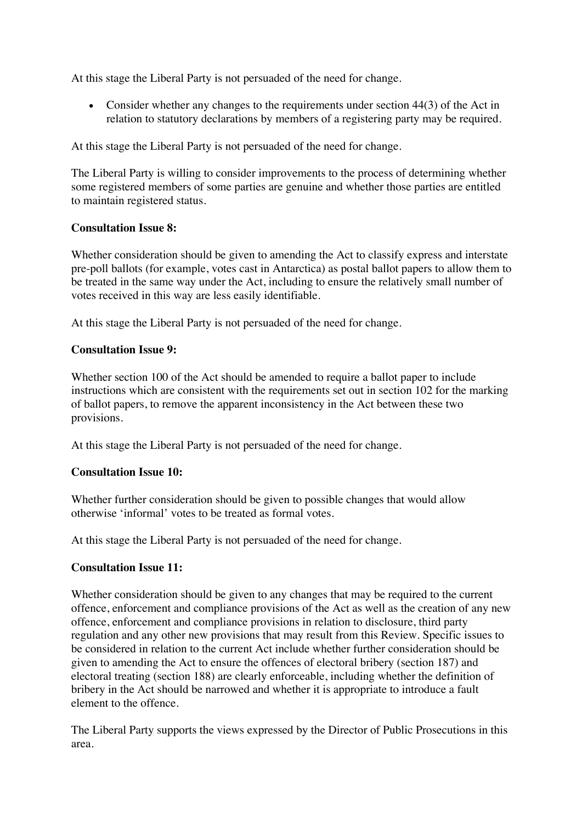At this stage the Liberal Party is not persuaded of the need for change.

• Consider whether any changes to the requirements under section 44(3) of the Act in relation to statutory declarations by members of a registering party may be required.

At this stage the Liberal Party is not persuaded of the need for change.

The Liberal Party is willing to consider improvements to the process of determining whether some registered members of some parties are genuine and whether those parties are entitled to maintain registered status.

#### **Consultation Issue 8:**

Whether consideration should be given to amending the Act to classify express and interstate pre-poll ballots (for example, votes cast in Antarctica) as postal ballot papers to allow them to be treated in the same way under the Act, including to ensure the relatively small number of votes received in this way are less easily identifiable.

At this stage the Liberal Party is not persuaded of the need for change.

## **Consultation Issue 9:**

Whether section 100 of the Act should be amended to require a ballot paper to include instructions which are consistent with the requirements set out in section 102 for the marking of ballot papers, to remove the apparent inconsistency in the Act between these two provisions.

At this stage the Liberal Party is not persuaded of the need for change.

## **Consultation Issue 10:**

Whether further consideration should be given to possible changes that would allow otherwise 'informal' votes to be treated as formal votes.

At this stage the Liberal Party is not persuaded of the need for change.

## **Consultation Issue 11:**

Whether consideration should be given to any changes that may be required to the current offence, enforcement and compliance provisions of the Act as well as the creation of any new offence, enforcement and compliance provisions in relation to disclosure, third party regulation and any other new provisions that may result from this Review. Specific issues to be considered in relation to the current Act include whether further consideration should be given to amending the Act to ensure the offences of electoral bribery (section 187) and electoral treating (section 188) are clearly enforceable, including whether the definition of bribery in the Act should be narrowed and whether it is appropriate to introduce a fault element to the offence.

The Liberal Party supports the views expressed by the Director of Public Prosecutions in this area.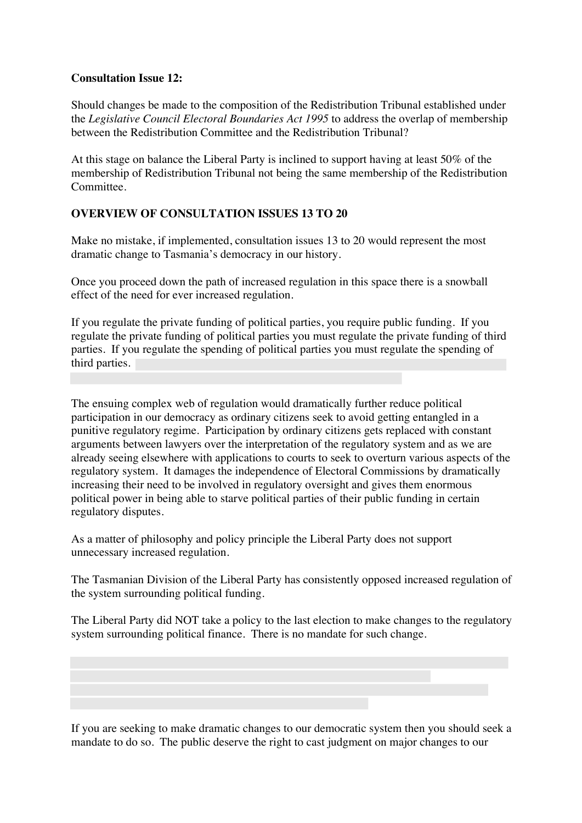#### **Consultation Issue 12:**

Should changes be made to the composition of the Redistribution Tribunal established under the *Legislative Council Electoral Boundaries Act 1995* to address the overlap of membership between the Redistribution Committee and the Redistribution Tribunal?

At this stage on balance the Liberal Party is inclined to support having at least 50% of the membership of Redistribution Tribunal not being the same membership of the Redistribution Committee.

#### **OVERVIEW OF CONSULTATION ISSUES 13 TO 20**

Make no mistake, if implemented, consultation issues 13 to 20 would represent the most dramatic change to Tasmania's democracy in our history.

Once you proceed down the path of increased regulation in this space there is a snowball effect of the need for ever increased regulation.

If you regulate the private funding of political parties, you require public funding. If you regulate the private funding of political parties you must regulate the private funding of third parties. If you regulate the spending of political parties you must regulate the spending of third parties.

The ensuing complex web of regulation would dramatically further reduce political participation in our democracy as ordinary citizens seek to avoid getting entangled in a punitive regulatory regime. Participation by ordinary citizens gets replaced with constant arguments between lawyers over the interpretation of the regulatory system and as we are already seeing elsewhere with applications to courts to seek to overturn various aspects of the regulatory system. It damages the independence of Electoral Commissions by dramatically increasing their need to be involved in regulatory oversight and gives them enormous political power in being able to starve political parties of their public funding in certain regulatory disputes.

As a matter of philosophy and policy principle the Liberal Party does not support unnecessary increased regulation.

The Tasmanian Division of the Liberal Party has consistently opposed increased regulation of the system surrounding political funding.

The Liberal Party did NOT take a policy to the last election to make changes to the regulatory system surrounding political finance. There is no mandate for such change.

If you are seeking to make dramatic changes to our democratic system then you should seek a mandate to do so. The public deserve the right to cast judgment on major changes to our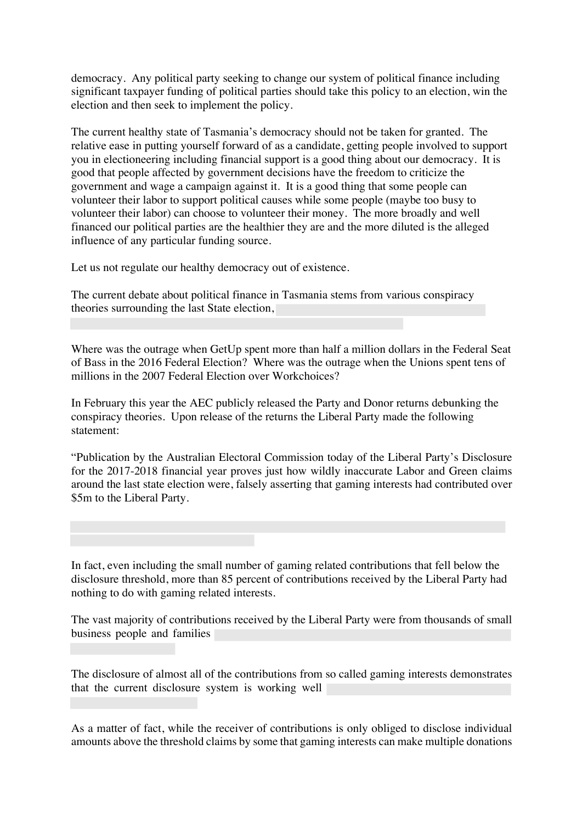democracy. Any political party seeking to change our system of political finance including significant taxpayer funding of political parties should take this policy to an election, win the election and then seek to implement the policy.

The current healthy state of Tasmania's democracy should not be taken for granted. The relative ease in putting yourself forward of as a candidate, getting people involved to support you in electioneering including financial support is a good thing about our democracy. It is good that people affected by government decisions have the freedom to criticize the government and wage a campaign against it. It is a good thing that some people can volunteer their labor to support political causes while some people (maybe too busy to volunteer their labor) can choose to volunteer their money. The more broadly and well financed our political parties are the healthier they are and the more diluted is the alleged influence of any particular funding source.

Let us not regulate our healthy democracy out of existence.

The current debate about political finance in Tasmania stems from various conspiracy theories surrounding the last State election,

Where was the outrage when GetUp spent more than half a million dollars in the Federal Seat of Bass in the 2016 Federal Election? Where was the outrage when the Unions spent tens of millions in the 2007 Federal Election over Workchoices?

In February this year the AEC publicly released the Party and Donor returns debunking the conspiracy theories. Upon release of the returns the Liberal Party made the following statement:

"Publication by the Australian Electoral Commission today of the Liberal Party's Disclosure for the 2017-2018 financial year proves just how wildly inaccurate Labor and Green claims around the last state election were, falsely asserting that gaming interests had contributed over \$5m to the Liberal Party.

In fact, even including the small number of gaming related contributions that fell below the disclosure threshold, more than 85 percent of contributions received by the Liberal Party had nothing to do with gaming related interests.

The vast majority of contributions received by the Liberal Party were from thousands of small business people and families

The disclosure of almost all of the contributions from so called gaming interests demonstrates that the current disclosure system is working well

As a matter of fact, while the receiver of contributions is only obliged to disclose individual amounts above the threshold claims by some that gaming interests can make multiple donations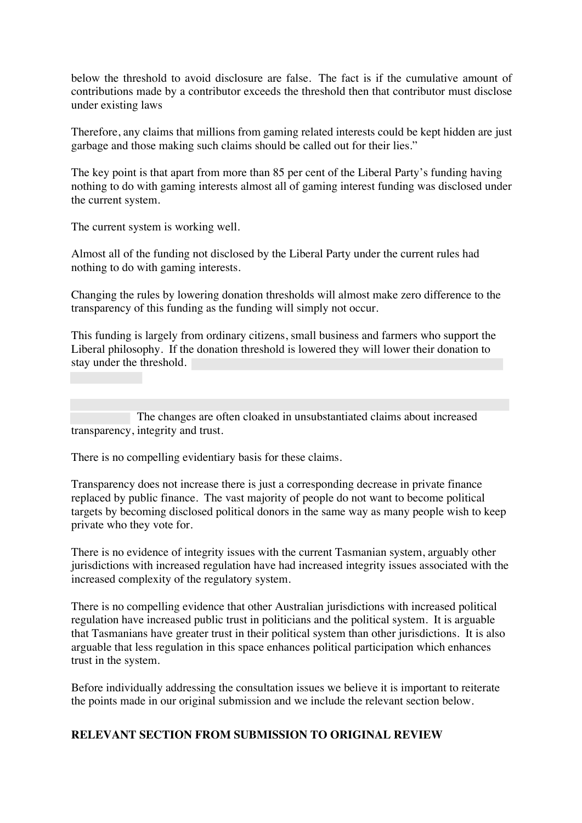below the threshold to avoid disclosure are false. The fact is if the cumulative amount of contributions made by a contributor exceeds the threshold then that contributor must disclose under existing laws

Therefore, any claims that millions from gaming related interests could be kept hidden are just garbage and those making such claims should be called out for their lies."

The key point is that apart from more than 85 per cent of the Liberal Party's funding having nothing to do with gaming interests almost all of gaming interest funding was disclosed under the current system.

The current system is working well.

Almost all of the funding not disclosed by the Liberal Party under the current rules had nothing to do with gaming interests.

Changing the rules by lowering donation thresholds will almost make zero difference to the transparency of this funding as the funding will simply not occur.

This funding is largely from ordinary citizens, small business and farmers who support the Liberal philosophy. If the donation threshold is lowered they will lower their donation to stay under the threshold.

 The changes are often cloaked in unsubstantiated claims about increased transparency, integrity and trust.

There is no compelling evidentiary basis for these claims.

Transparency does not increase there is just a corresponding decrease in private finance replaced by public finance. The vast majority of people do not want to become political targets by becoming disclosed political donors in the same way as many people wish to keep private who they vote for.

There is no evidence of integrity issues with the current Tasmanian system, arguably other jurisdictions with increased regulation have had increased integrity issues associated with the increased complexity of the regulatory system.

There is no compelling evidence that other Australian jurisdictions with increased political regulation have increased public trust in politicians and the political system. It is arguable that Tasmanians have greater trust in their political system than other jurisdictions. It is also arguable that less regulation in this space enhances political participation which enhances trust in the system.

Before individually addressing the consultation issues we believe it is important to reiterate the points made in our original submission and we include the relevant section below.

#### **RELEVANT SECTION FROM SUBMISSION TO ORIGINAL REVIEW**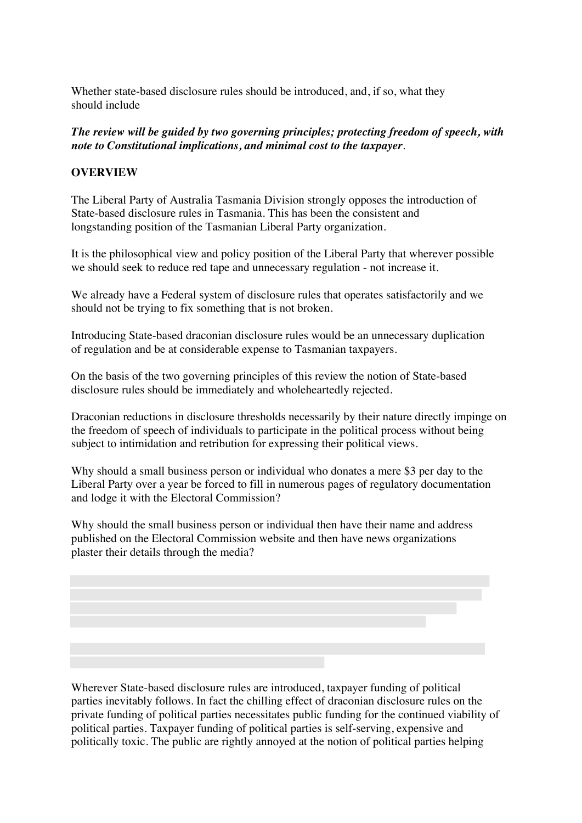Whether state-based disclosure rules should be introduced, and, if so, what they should include

*The review will be guided by two governing principles; protecting freedom of speech, with note to Constitutional implications, and minimal cost to the taxpayer*.

#### **OVERVIEW**

The Liberal Party of Australia Tasmania Division strongly opposes the introduction of State-based disclosure rules in Tasmania. This has been the consistent and longstanding position of the Tasmanian Liberal Party organization.

It is the philosophical view and policy position of the Liberal Party that wherever possible we should seek to reduce red tape and unnecessary regulation - not increase it.

We already have a Federal system of disclosure rules that operates satisfactorily and we should not be trying to fix something that is not broken.

Introducing State-based draconian disclosure rules would be an unnecessary duplication of regulation and be at considerable expense to Tasmanian taxpayers.

On the basis of the two governing principles of this review the notion of State-based disclosure rules should be immediately and wholeheartedly rejected.

Draconian reductions in disclosure thresholds necessarily by their nature directly impinge on the freedom of speech of individuals to participate in the political process without being subject to intimidation and retribution for expressing their political views.

Why should a small business person or individual who donates a mere \$3 per day to the Liberal Party over a year be forced to fill in numerous pages of regulatory documentation and lodge it with the Electoral Commission?

Why should the small business person or individual then have their name and address published on the Electoral Commission website and then have news organizations plaster their details through the media?

Wherever State-based disclosure rules are introduced, taxpayer funding of political parties inevitably follows. In fact the chilling effect of draconian disclosure rules on the private funding of political parties necessitates public funding for the continued viability of political parties. Taxpayer funding of political parties is self-serving, expensive and politically toxic. The public are rightly annoyed at the notion of political parties helping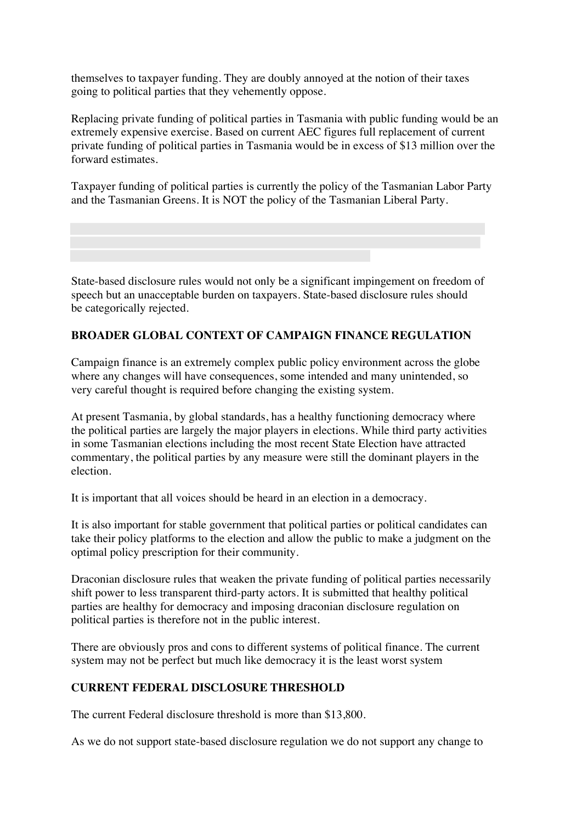themselves to taxpayer funding. They are doubly annoyed at the notion of their taxes going to political parties that they vehemently oppose.

Replacing private funding of political parties in Tasmania with public funding would be an extremely expensive exercise. Based on current AEC figures full replacement of current private funding of political parties in Tasmania would be in excess of \$13 million over the forward estimates.

Taxpayer funding of political parties is currently the policy of the Tasmanian Labor Party and the Tasmanian Greens. It is NOT the policy of the Tasmanian Liberal Party.

State-based disclosure rules would not only be a significant impingement on freedom of speech but an unacceptable burden on taxpayers. State-based disclosure rules should be categorically rejected.

## **BROADER GLOBAL CONTEXT OF CAMPAIGN FINANCE REGULATION**

Campaign finance is an extremely complex public policy environment across the globe where any changes will have consequences, some intended and many unintended, so very careful thought is required before changing the existing system.

At present Tasmania, by global standards, has a healthy functioning democracy where the political parties are largely the major players in elections. While third party activities in some Tasmanian elections including the most recent State Election have attracted commentary, the political parties by any measure were still the dominant players in the election.

It is important that all voices should be heard in an election in a democracy.

It is also important for stable government that political parties or political candidates can take their policy platforms to the election and allow the public to make a judgment on the optimal policy prescription for their community.

Draconian disclosure rules that weaken the private funding of political parties necessarily shift power to less transparent third-party actors. It is submitted that healthy political parties are healthy for democracy and imposing draconian disclosure regulation on political parties is therefore not in the public interest.

There are obviously pros and cons to different systems of political finance. The current system may not be perfect but much like democracy it is the least worst system

## **CURRENT FEDERAL DISCLOSURE THRESHOLD**

The current Federal disclosure threshold is more than \$13,800.

As we do not support state-based disclosure regulation we do not support any change to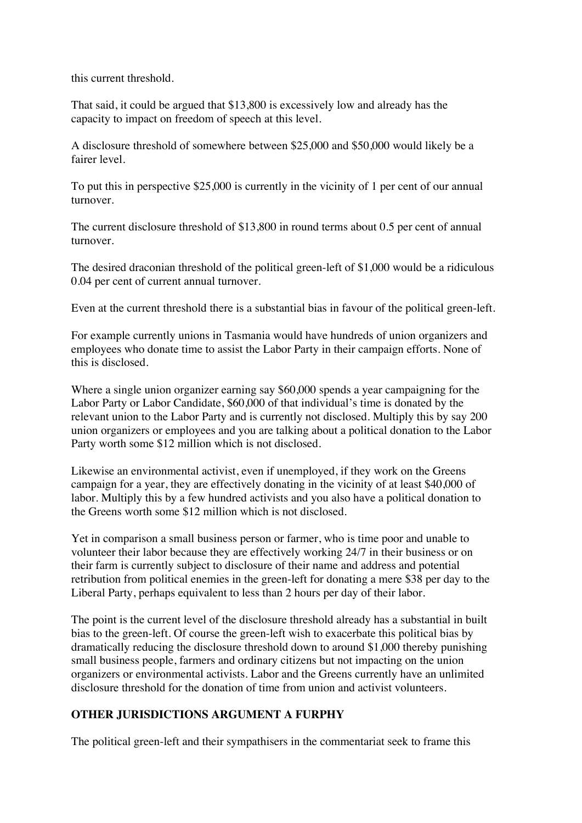this current threshold.

That said, it could be argued that \$13,800 is excessively low and already has the capacity to impact on freedom of speech at this level.

A disclosure threshold of somewhere between \$25,000 and \$50,000 would likely be a fairer level.

To put this in perspective \$25,000 is currently in the vicinity of 1 per cent of our annual turnover.

The current disclosure threshold of \$13,800 in round terms about 0.5 per cent of annual turnover.

The desired draconian threshold of the political green-left of \$1,000 would be a ridiculous 0.04 per cent of current annual turnover.

Even at the current threshold there is a substantial bias in favour of the political green-left.

For example currently unions in Tasmania would have hundreds of union organizers and employees who donate time to assist the Labor Party in their campaign efforts. None of this is disclosed.

Where a single union organizer earning say \$60,000 spends a year campaigning for the Labor Party or Labor Candidate, \$60,000 of that individual's time is donated by the relevant union to the Labor Party and is currently not disclosed. Multiply this by say 200 union organizers or employees and you are talking about a political donation to the Labor Party worth some \$12 million which is not disclosed.

Likewise an environmental activist, even if unemployed, if they work on the Greens campaign for a year, they are effectively donating in the vicinity of at least \$40,000 of labor. Multiply this by a few hundred activists and you also have a political donation to the Greens worth some \$12 million which is not disclosed.

Yet in comparison a small business person or farmer, who is time poor and unable to volunteer their labor because they are effectively working 24/7 in their business or on their farm is currently subject to disclosure of their name and address and potential retribution from political enemies in the green-left for donating a mere \$38 per day to the Liberal Party, perhaps equivalent to less than 2 hours per day of their labor.

The point is the current level of the disclosure threshold already has a substantial in built bias to the green-left. Of course the green-left wish to exacerbate this political bias by dramatically reducing the disclosure threshold down to around \$1,000 thereby punishing small business people, farmers and ordinary citizens but not impacting on the union organizers or environmental activists. Labor and the Greens currently have an unlimited disclosure threshold for the donation of time from union and activist volunteers.

# **OTHER JURISDICTIONS ARGUMENT A FURPHY**

The political green-left and their sympathisers in the commentariat seek to frame this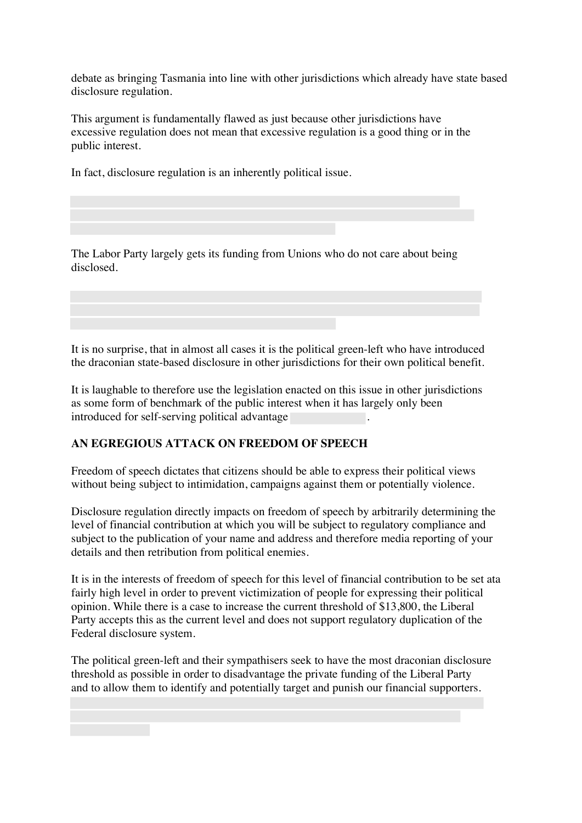debate as bringing Tasmania into line with other jurisdictions which already have state based disclosure regulation.

This argument is fundamentally flawed as just because other jurisdictions have excessive regulation does not mean that excessive regulation is a good thing or in the public interest.

In fact, disclosure regulation is an inherently political issue.

The Labor Party largely gets its funding from Unions who do not care about being disclosed.

It is no surprise, that in almost all cases it is the political green-left who have introduced the draconian state-based disclosure in other jurisdictions for their own political benefit.

It is laughable to therefore use the legislation enacted on this issue in other jurisdictions as some form of benchmark of the public interest when it has largely only been introduced for self-serving political advantage .

## **AN EGREGIOUS ATTACK ON FREEDOM OF SPEECH**

Freedom of speech dictates that citizens should be able to express their political views without being subject to intimidation, campaigns against them or potentially violence.

Disclosure regulation directly impacts on freedom of speech by arbitrarily determining the level of financial contribution at which you will be subject to regulatory compliance and subject to the publication of your name and address and therefore media reporting of your details and then retribution from political enemies.

It is in the interests of freedom of speech for this level of financial contribution to be set ata fairly high level in order to prevent victimization of people for expressing their political opinion. While there is a case to increase the current threshold of \$13,800, the Liberal Party accepts this as the current level and does not support regulatory duplication of the Federal disclosure system.

The political green-left and their sympathisers seek to have the most draconian disclosure threshold as possible in order to disadvantage the private funding of the Liberal Party and to allow them to identify and potentially target and punish our financial supporters.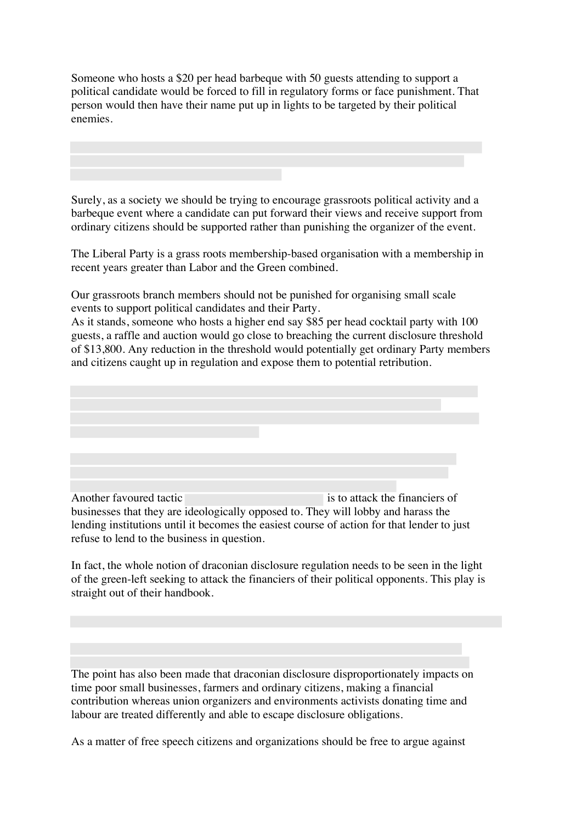Someone who hosts a \$20 per head barbeque with 50 guests attending to support a political candidate would be forced to fill in regulatory forms or face punishment. That person would then have their name put up in lights to be targeted by their political enemies.

Surely, as a society we should be trying to encourage grassroots political activity and a barbeque event where a candidate can put forward their views and receive support from ordinary citizens should be supported rather than punishing the organizer of the event.

The Liberal Party is a grass roots membership-based organisation with a membership in recent years greater than Labor and the Green combined.

Our grassroots branch members should not be punished for organising small scale events to support political candidates and their Party.

As it stands, someone who hosts a higher end say \$85 per head cocktail party with 100 guests, a raffle and auction would go close to breaching the current disclosure threshold of \$13,800. Any reduction in the threshold would potentially get ordinary Party members and citizens caught up in regulation and expose them to potential retribution.



Another favoured tactic is to attack the financiers of businesses that they are ideologically opposed to. They will lobby and harass the lending institutions until it becomes the easiest course of action for that lender to just refuse to lend to the business in question.

In fact, the whole notion of draconian disclosure regulation needs to be seen in the light of the green-left seeking to attack the financiers of their political opponents. This play is straight out of their handbook.

The point has also been made that draconian disclosure disproportionately impacts on time poor small businesses, farmers and ordinary citizens, making a financial contribution whereas union organizers and environments activists donating time and labour are treated differently and able to escape disclosure obligations.

As a matter of free speech citizens and organizations should be free to argue against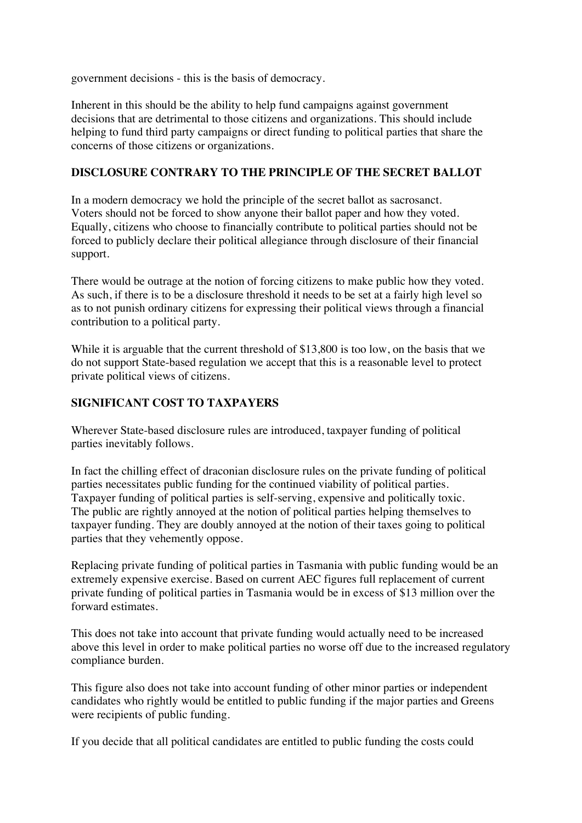government decisions - this is the basis of democracy.

Inherent in this should be the ability to help fund campaigns against government decisions that are detrimental to those citizens and organizations. This should include helping to fund third party campaigns or direct funding to political parties that share the concerns of those citizens or organizations.

## **DISCLOSURE CONTRARY TO THE PRINCIPLE OF THE SECRET BALLOT**

In a modern democracy we hold the principle of the secret ballot as sacrosanct. Voters should not be forced to show anyone their ballot paper and how they voted. Equally, citizens who choose to financially contribute to political parties should not be forced to publicly declare their political allegiance through disclosure of their financial support.

There would be outrage at the notion of forcing citizens to make public how they voted. As such, if there is to be a disclosure threshold it needs to be set at a fairly high level so as to not punish ordinary citizens for expressing their political views through a financial contribution to a political party.

While it is arguable that the current threshold of \$13,800 is too low, on the basis that we do not support State-based regulation we accept that this is a reasonable level to protect private political views of citizens.

## **SIGNIFICANT COST TO TAXPAYERS**

Wherever State-based disclosure rules are introduced, taxpayer funding of political parties inevitably follows.

In fact the chilling effect of draconian disclosure rules on the private funding of political parties necessitates public funding for the continued viability of political parties. Taxpayer funding of political parties is self-serving, expensive and politically toxic. The public are rightly annoyed at the notion of political parties helping themselves to taxpayer funding. They are doubly annoyed at the notion of their taxes going to political parties that they vehemently oppose.

Replacing private funding of political parties in Tasmania with public funding would be an extremely expensive exercise. Based on current AEC figures full replacement of current private funding of political parties in Tasmania would be in excess of \$13 million over the forward estimates.

This does not take into account that private funding would actually need to be increased above this level in order to make political parties no worse off due to the increased regulatory compliance burden.

This figure also does not take into account funding of other minor parties or independent candidates who rightly would be entitled to public funding if the major parties and Greens were recipients of public funding.

If you decide that all political candidates are entitled to public funding the costs could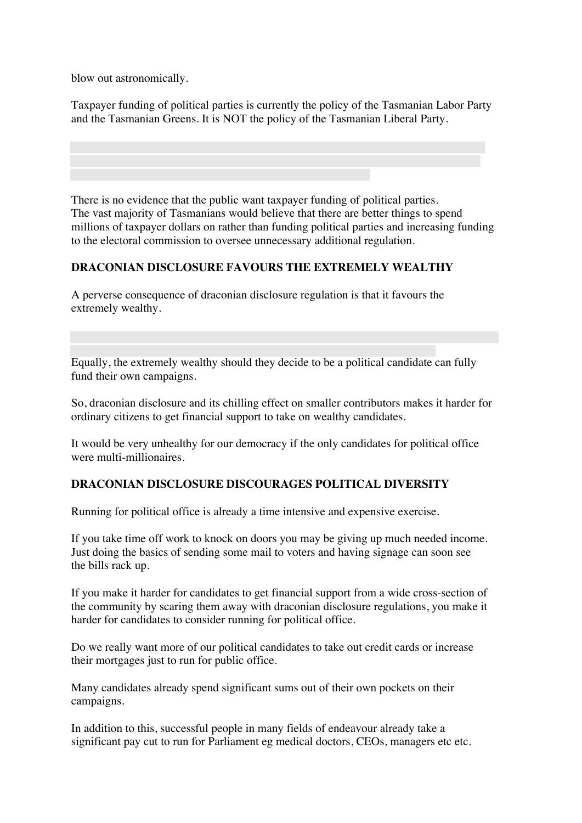blow out astronomically.

Taxpayer funding of political parties is currently the policy of the Tasmanian Labor Party and the Tasmanian Greens. It is NOT the policy of the Tasmanian Liberal Party.

There is no evidence that the public want taxpayer funding of political parties. The vast majority of Tasmanians would believe that there are better things to spend millions of taxpayer dollars on rather than funding political parties and increasing funding to the electoral commission to oversee unnecessary additional regulation.

## **DRACONIAN DISCLOSURE FAVOURS THE EXTREMELY WEALTHY**

A perverse consequence of draconian disclosure regulation is that it favours the extremely wealthy.

Equally, the extremely wealthy should they decide to be a political candidate can fully fund their own campaigns.

So, draconian disclosure and its chilling effect on smaller contributors makes it harder for ordinary citizens to get financial support to take on wealthy candidates.

It would be very unhealthy for our democracy if the only candidates for political office were multi-millionaires.

## **DRACONIAN DISCLOSURE DISCOURAGES POLITICAL DIVERSITY**

Running for political office is already a time intensive and expensive exercise.

If you take time off work to knock on doors you may be giving up much needed income. Just doing the basics of sending some mail to voters and having signage can soon see the bills rack up.

If you make it harder for candidates to get financial support from a wide cross-section of the community by scaring them away with draconian disclosure regulations, you make it harder for candidates to consider running for political office.

Do we really want more of our political candidates to take out credit cards or increase their mortgages just to run for public office.

Many candidates already spend significant sums out of their own pockets on their campaigns.

In addition to this, successful people in many fields of endeavour already take a significant pay cut to run for Parliament eg medical doctors, CEOs, managers etc etc.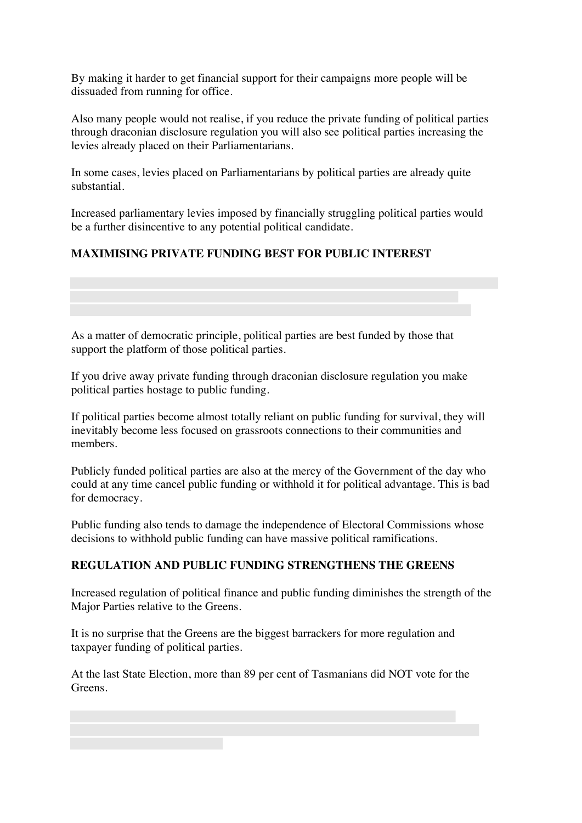By making it harder to get financial support for their campaigns more people will be dissuaded from running for office.

Also many people would not realise, if you reduce the private funding of political parties through draconian disclosure regulation you will also see political parties increasing the levies already placed on their Parliamentarians.

In some cases, levies placed on Parliamentarians by political parties are already quite substantial.

Increased parliamentary levies imposed by financially struggling political parties would be a further disincentive to any potential political candidate.

# **MAXIMISING PRIVATE FUNDING BEST FOR PUBLIC INTEREST**

As a matter of democratic principle, political parties are best funded by those that support the platform of those political parties.

If you drive away private funding through draconian disclosure regulation you make political parties hostage to public funding.

If political parties become almost totally reliant on public funding for survival, they will inevitably become less focused on grassroots connections to their communities and members.

Publicly funded political parties are also at the mercy of the Government of the day who could at any time cancel public funding or withhold it for political advantage. This is bad for democracy.

Public funding also tends to damage the independence of Electoral Commissions whose decisions to withhold public funding can have massive political ramifications.

## **REGULATION AND PUBLIC FUNDING STRENGTHENS THE GREENS**

Increased regulation of political finance and public funding diminishes the strength of the Major Parties relative to the Greens.

It is no surprise that the Greens are the biggest barrackers for more regulation and taxpayer funding of political parties.

At the last State Election, more than 89 per cent of Tasmanians did NOT vote for the Greens.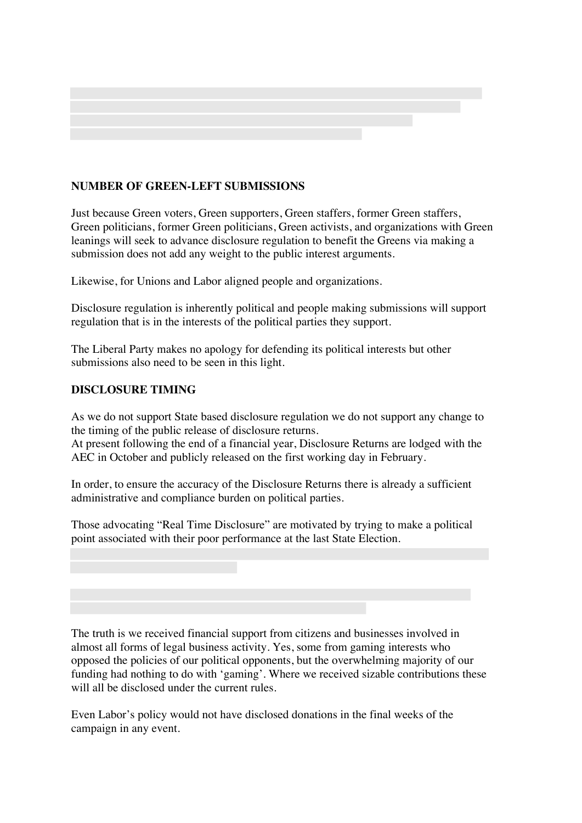

## **NUMBER OF GREEN-LEFT SUBMISSIONS**

Just because Green voters, Green supporters, Green staffers, former Green staffers, Green politicians, former Green politicians, Green activists, and organizations with Green leanings will seek to advance disclosure regulation to benefit the Greens via making a submission does not add any weight to the public interest arguments.

Likewise, for Unions and Labor aligned people and organizations.

Disclosure regulation is inherently political and people making submissions will support regulation that is in the interests of the political parties they support.

The Liberal Party makes no apology for defending its political interests but other submissions also need to be seen in this light.

#### **DISCLOSURE TIMING**

As we do not support State based disclosure regulation we do not support any change to the timing of the public release of disclosure returns.

At present following the end of a financial year, Disclosure Returns are lodged with the AEC in October and publicly released on the first working day in February.

In order, to ensure the accuracy of the Disclosure Returns there is already a sufficient administrative and compliance burden on political parties.

Those advocating "Real Time Disclosure" are motivated by trying to make a political point associated with their poor performance at the last State Election.

The truth is we received financial support from citizens and businesses involved in almost all forms of legal business activity. Yes, some from gaming interests who opposed the policies of our political opponents, but the overwhelming majority of our funding had nothing to do with 'gaming'. Where we received sizable contributions these will all be disclosed under the current rules.

Even Labor's policy would not have disclosed donations in the final weeks of the campaign in any event.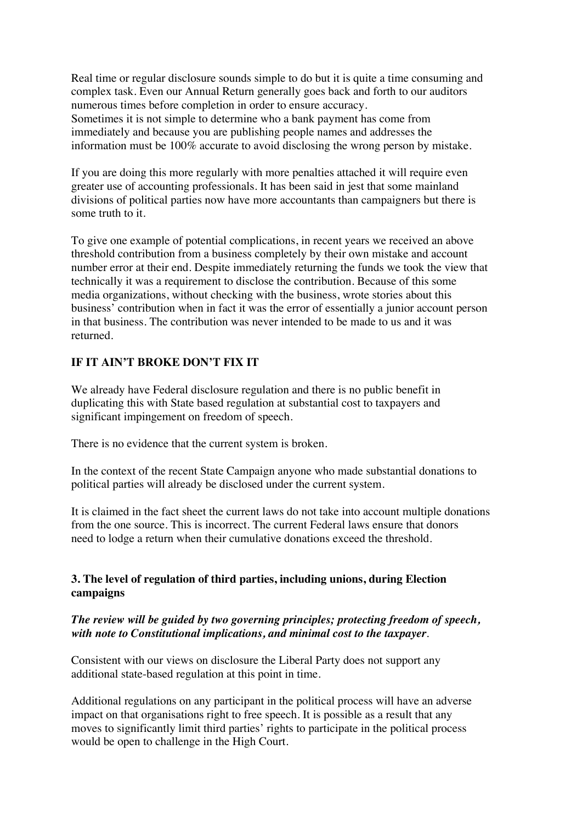Real time or regular disclosure sounds simple to do but it is quite a time consuming and complex task. Even our Annual Return generally goes back and forth to our auditors numerous times before completion in order to ensure accuracy. Sometimes it is not simple to determine who a bank payment has come from immediately and because you are publishing people names and addresses the information must be 100% accurate to avoid disclosing the wrong person by mistake.

If you are doing this more regularly with more penalties attached it will require even greater use of accounting professionals. It has been said in jest that some mainland divisions of political parties now have more accountants than campaigners but there is some truth to it.

To give one example of potential complications, in recent years we received an above threshold contribution from a business completely by their own mistake and account number error at their end. Despite immediately returning the funds we took the view that technically it was a requirement to disclose the contribution. Because of this some media organizations, without checking with the business, wrote stories about this business' contribution when in fact it was the error of essentially a junior account person in that business. The contribution was never intended to be made to us and it was returned.

# **IF IT AIN'T BROKE DON'T FIX IT**

We already have Federal disclosure regulation and there is no public benefit in duplicating this with State based regulation at substantial cost to taxpayers and significant impingement on freedom of speech.

There is no evidence that the current system is broken.

In the context of the recent State Campaign anyone who made substantial donations to political parties will already be disclosed under the current system.

It is claimed in the fact sheet the current laws do not take into account multiple donations from the one source. This is incorrect. The current Federal laws ensure that donors need to lodge a return when their cumulative donations exceed the threshold.

## **3. The level of regulation of third parties, including unions, during Election campaigns**

#### *The review will be guided by two governing principles; protecting freedom of speech, with note to Constitutional implications, and minimal cost to the taxpayer*.

Consistent with our views on disclosure the Liberal Party does not support any additional state-based regulation at this point in time.

Additional regulations on any participant in the political process will have an adverse impact on that organisations right to free speech. It is possible as a result that any moves to significantly limit third parties' rights to participate in the political process would be open to challenge in the High Court.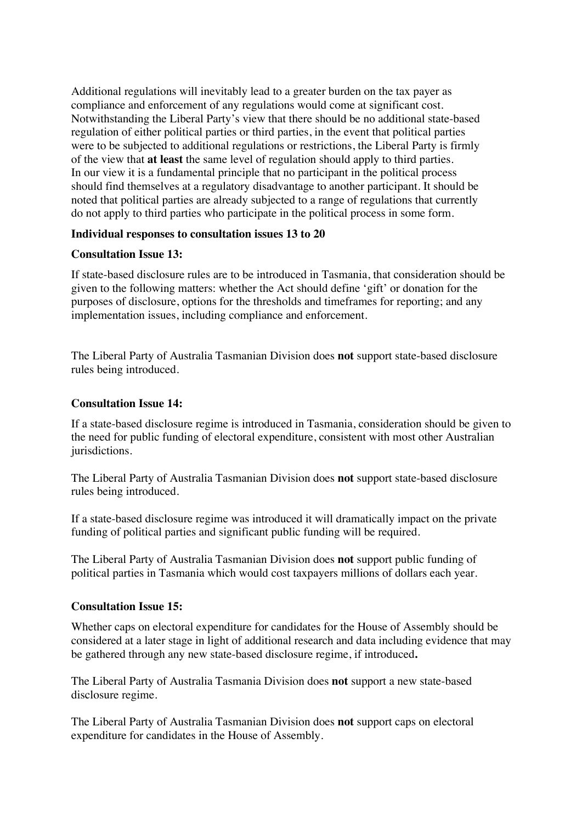Additional regulations will inevitably lead to a greater burden on the tax payer as compliance and enforcement of any regulations would come at significant cost. Notwithstanding the Liberal Party's view that there should be no additional state-based regulation of either political parties or third parties, in the event that political parties were to be subjected to additional regulations or restrictions, the Liberal Party is firmly of the view that **at least** the same level of regulation should apply to third parties. In our view it is a fundamental principle that no participant in the political process should find themselves at a regulatory disadvantage to another participant. It should be noted that political parties are already subjected to a range of regulations that currently do not apply to third parties who participate in the political process in some form.

#### **Individual responses to consultation issues 13 to 20**

#### **Consultation Issue 13:**

If state-based disclosure rules are to be introduced in Tasmania, that consideration should be given to the following matters: whether the Act should define 'gift' or donation for the purposes of disclosure, options for the thresholds and timeframes for reporting; and any implementation issues, including compliance and enforcement.

The Liberal Party of Australia Tasmanian Division does **not** support state-based disclosure rules being introduced.

#### **Consultation Issue 14:**

If a state-based disclosure regime is introduced in Tasmania, consideration should be given to the need for public funding of electoral expenditure, consistent with most other Australian jurisdictions.

The Liberal Party of Australia Tasmanian Division does **not** support state-based disclosure rules being introduced.

If a state-based disclosure regime was introduced it will dramatically impact on the private funding of political parties and significant public funding will be required.

The Liberal Party of Australia Tasmanian Division does **not** support public funding of political parties in Tasmania which would cost taxpayers millions of dollars each year.

#### **Consultation Issue 15:**

Whether caps on electoral expenditure for candidates for the House of Assembly should be considered at a later stage in light of additional research and data including evidence that may be gathered through any new state-based disclosure regime, if introduced**.**

The Liberal Party of Australia Tasmania Division does **not** support a new state-based disclosure regime.

The Liberal Party of Australia Tasmanian Division does **not** support caps on electoral expenditure for candidates in the House of Assembly.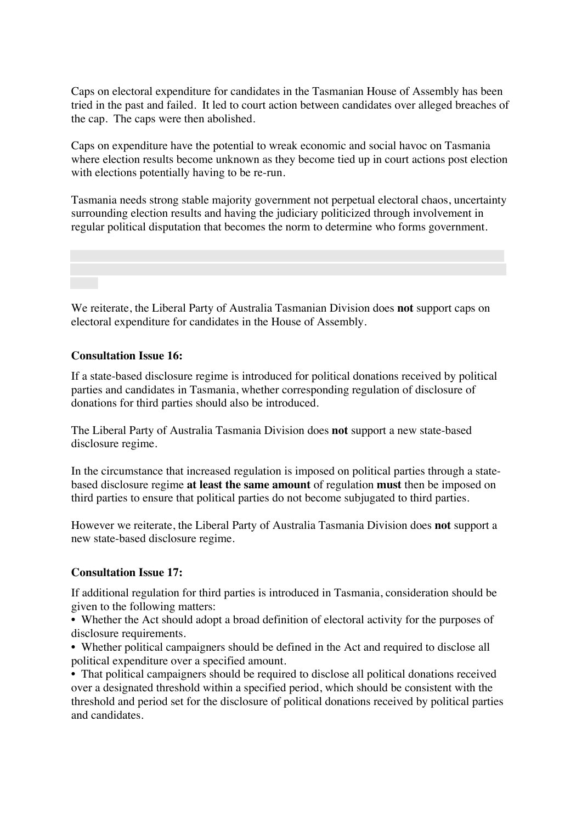Caps on electoral expenditure for candidates in the Tasmanian House of Assembly has been tried in the past and failed. It led to court action between candidates over alleged breaches of the cap. The caps were then abolished.

Caps on expenditure have the potential to wreak economic and social havoc on Tasmania where election results become unknown as they become tied up in court actions post election with elections potentially having to be re-run.

Tasmania needs strong stable majority government not perpetual electoral chaos, uncertainty surrounding election results and having the judiciary politicized through involvement in regular political disputation that becomes the norm to determine who forms government.

We reiterate, the Liberal Party of Australia Tasmanian Division does **not** support caps on electoral expenditure for candidates in the House of Assembly.

#### **Consultation Issue 16:**

If a state-based disclosure regime is introduced for political donations received by political parties and candidates in Tasmania, whether corresponding regulation of disclosure of donations for third parties should also be introduced.

The Liberal Party of Australia Tasmania Division does **not** support a new state-based disclosure regime.

In the circumstance that increased regulation is imposed on political parties through a statebased disclosure regime **at least the same amount** of regulation **must** then be imposed on third parties to ensure that political parties do not become subjugated to third parties.

However we reiterate, the Liberal Party of Australia Tasmania Division does **not** support a new state-based disclosure regime.

#### **Consultation Issue 17:**

If additional regulation for third parties is introduced in Tasmania, consideration should be given to the following matters:

• Whether the Act should adopt a broad definition of electoral activity for the purposes of disclosure requirements.

• Whether political campaigners should be defined in the Act and required to disclose all political expenditure over a specified amount.

• That political campaigners should be required to disclose all political donations received over a designated threshold within a specified period, which should be consistent with the threshold and period set for the disclosure of political donations received by political parties and candidates.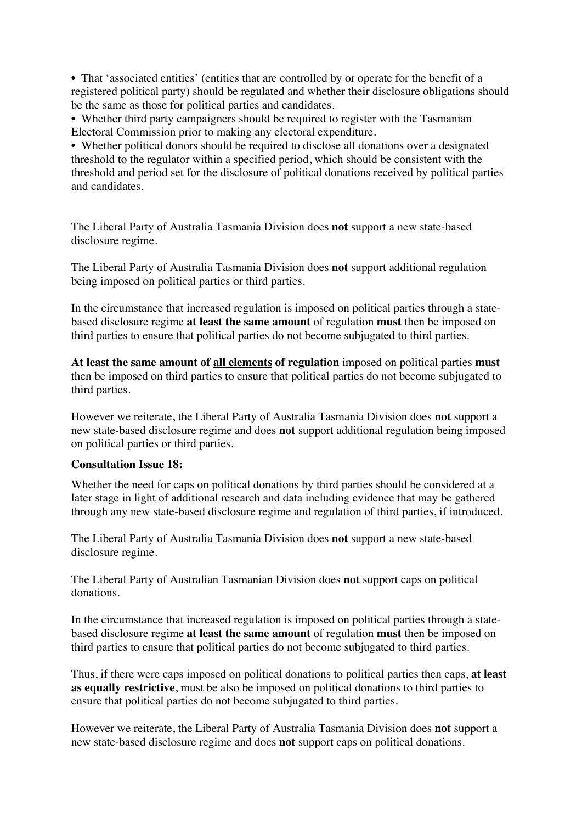• That 'associated entities' (entities that are controlled by or operate for the benefit of a registered political party) should be regulated and whether their disclosure obligations should be the same as those for political parties and candidates.

• Whether third party campaigners should be required to register with the Tasmanian Electoral Commission prior to making any electoral expenditure.

• Whether political donors should be required to disclose all donations over a designated threshold to the regulator within a specified period, which should be consistent with the threshold and period set for the disclosure of political donations received by political parties and candidates.

The Liberal Party of Australia Tasmania Division does **not** support a new state-based disclosure regime.

The Liberal Party of Australia Tasmania Division does **not** support additional regulation being imposed on political parties or third parties.

In the circumstance that increased regulation is imposed on political parties through a statebased disclosure regime **at least the same amount** of regulation **must** then be imposed on third parties to ensure that political parties do not become subjugated to third parties.

**At least the same amount of all elements of regulation** imposed on political parties **must** then be imposed on third parties to ensure that political parties do not become subjugated to third parties.

However we reiterate, the Liberal Party of Australia Tasmania Division does **not** support a new state-based disclosure regime and does **not** support additional regulation being imposed on political parties or third parties.

#### **Consultation Issue 18:**

Whether the need for caps on political donations by third parties should be considered at a later stage in light of additional research and data including evidence that may be gathered through any new state-based disclosure regime and regulation of third parties, if introduced.

The Liberal Party of Australia Tasmania Division does **not** support a new state-based disclosure regime.

The Liberal Party of Australian Tasmanian Division does **not** support caps on political donations.

In the circumstance that increased regulation is imposed on political parties through a statebased disclosure regime **at least the same amount** of regulation **must** then be imposed on third parties to ensure that political parties do not become subjugated to third parties.

Thus, if there were caps imposed on political donations to political parties then caps, **at least as equally restrictive**, must be also be imposed on political donations to third parties to ensure that political parties do not become subjugated to third parties.

However we reiterate, the Liberal Party of Australia Tasmania Division does **not** support a new state-based disclosure regime and does **not** support caps on political donations.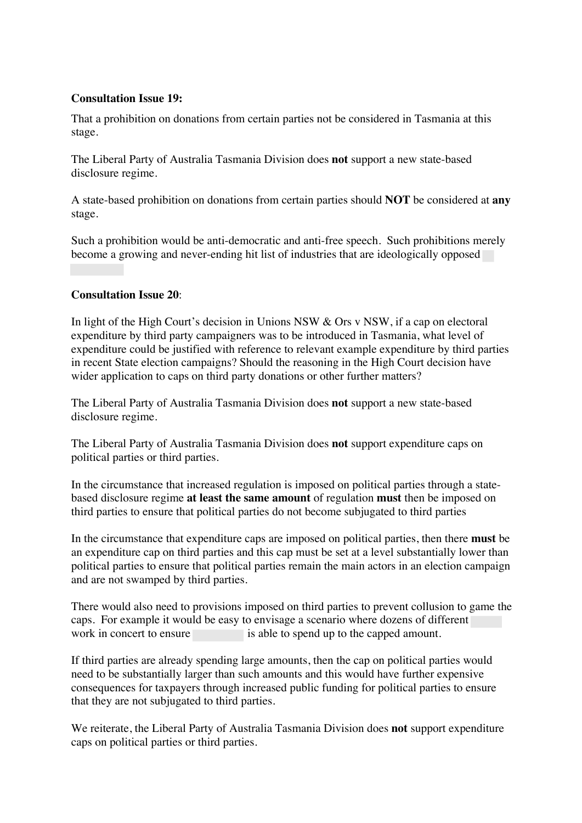#### **Consultation Issue 19:**

That a prohibition on donations from certain parties not be considered in Tasmania at this stage.

The Liberal Party of Australia Tasmania Division does **not** support a new state-based disclosure regime.

A state-based prohibition on donations from certain parties should **NOT** be considered at **any** stage.

Such a prohibition would be anti-democratic and anti-free speech. Such prohibitions merely become a growing and never-ending hit list of industries that are ideologically opposed

#### **Consultation Issue 20**:

In light of the High Court's decision in Unions NSW & Ors v NSW, if a cap on electoral expenditure by third party campaigners was to be introduced in Tasmania, what level of expenditure could be justified with reference to relevant example expenditure by third parties in recent State election campaigns? Should the reasoning in the High Court decision have wider application to caps on third party donations or other further matters?

The Liberal Party of Australia Tasmania Division does **not** support a new state-based disclosure regime.

The Liberal Party of Australia Tasmania Division does **not** support expenditure caps on political parties or third parties.

In the circumstance that increased regulation is imposed on political parties through a statebased disclosure regime **at least the same amount** of regulation **must** then be imposed on third parties to ensure that political parties do not become subjugated to third parties

In the circumstance that expenditure caps are imposed on political parties, then there **must** be an expenditure cap on third parties and this cap must be set at a level substantially lower than political parties to ensure that political parties remain the main actors in an election campaign and are not swamped by third parties.

There would also need to provisions imposed on third parties to prevent collusion to game the caps. For example it would be easy to envisage a scenario where dozens of different work in concert to ensure is able to spend up to the capped amount.

If third parties are already spending large amounts, then the cap on political parties would need to be substantially larger than such amounts and this would have further expensive consequences for taxpayers through increased public funding for political parties to ensure that they are not subjugated to third parties.

We reiterate, the Liberal Party of Australia Tasmania Division does **not** support expenditure caps on political parties or third parties.